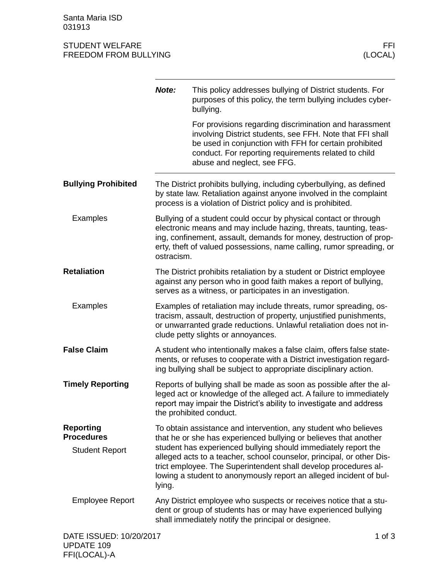Santa Maria ISD 031913

## STUDENT WELFARE FFINDENT WELFARE FREEDOM FROM BULLYING FREEDOM FROM BULLYING

|                                                                | Note:      | This policy addresses bullying of District students. For<br>purposes of this policy, the term bullying includes cyber-<br>bullying.                                                                                                                                                                                                                                                                                     |            |
|----------------------------------------------------------------|------------|-------------------------------------------------------------------------------------------------------------------------------------------------------------------------------------------------------------------------------------------------------------------------------------------------------------------------------------------------------------------------------------------------------------------------|------------|
|                                                                |            | For provisions regarding discrimination and harassment<br>involving District students, see FFH. Note that FFI shall<br>be used in conjunction with FFH for certain prohibited<br>conduct. For reporting requirements related to child<br>abuse and neglect, see FFG.                                                                                                                                                    |            |
| <b>Bullying Prohibited</b>                                     |            | The District prohibits bullying, including cyberbullying, as defined<br>by state law. Retaliation against anyone involved in the complaint<br>process is a violation of District policy and is prohibited.                                                                                                                                                                                                              |            |
| <b>Examples</b>                                                | ostracism. | Bullying of a student could occur by physical contact or through<br>electronic means and may include hazing, threats, taunting, teas-<br>ing, confinement, assault, demands for money, destruction of prop-<br>erty, theft of valued possessions, name calling, rumor spreading, or                                                                                                                                     |            |
| <b>Retaliation</b>                                             |            | The District prohibits retaliation by a student or District employee<br>against any person who in good faith makes a report of bullying,<br>serves as a witness, or participates in an investigation.                                                                                                                                                                                                                   |            |
| <b>Examples</b>                                                |            | Examples of retaliation may include threats, rumor spreading, os-<br>tracism, assault, destruction of property, unjustified punishments,<br>or unwarranted grade reductions. Unlawful retaliation does not in-<br>clude petty slights or annoyances.                                                                                                                                                                    |            |
| <b>False Claim</b>                                             |            | A student who intentionally makes a false claim, offers false state-<br>ments, or refuses to cooperate with a District investigation regard-<br>ing bullying shall be subject to appropriate disciplinary action.                                                                                                                                                                                                       |            |
| <b>Timely Reporting</b>                                        |            | Reports of bullying shall be made as soon as possible after the al-<br>leged act or knowledge of the alleged act. A failure to immediately<br>report may impair the District's ability to investigate and address<br>the prohibited conduct.                                                                                                                                                                            |            |
| <b>Reporting</b><br><b>Procedures</b><br><b>Student Report</b> | lying.     | To obtain assistance and intervention, any student who believes<br>that he or she has experienced bullying or believes that another<br>student has experienced bullying should immediately report the<br>alleged acts to a teacher, school counselor, principal, or other Dis-<br>trict employee. The Superintendent shall develop procedures al-<br>lowing a student to anonymously report an alleged incident of bul- |            |
| <b>Employee Report</b>                                         |            | Any District employee who suspects or receives notice that a stu-<br>dent or group of students has or may have experienced bullying<br>shall immediately notify the principal or designee.                                                                                                                                                                                                                              |            |
| DATE ISSUED: 10/20/2017                                        |            |                                                                                                                                                                                                                                                                                                                                                                                                                         | $1$ of $3$ |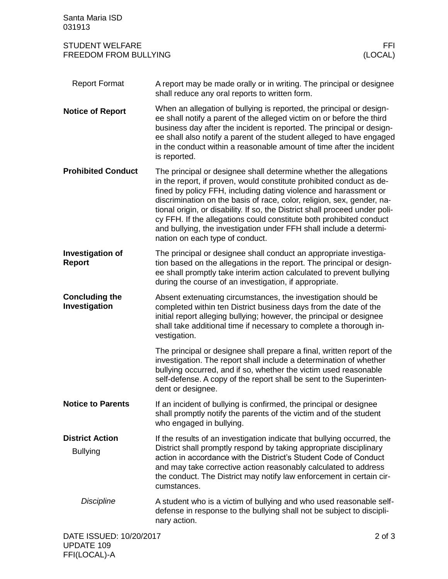| Santa Maria ISD<br>031913                                                 |                                                                                                                                                                                                                                                                                                                                                                                                                                                                                                                                                        |  |
|---------------------------------------------------------------------------|--------------------------------------------------------------------------------------------------------------------------------------------------------------------------------------------------------------------------------------------------------------------------------------------------------------------------------------------------------------------------------------------------------------------------------------------------------------------------------------------------------------------------------------------------------|--|
| <b>STUDENT WELFARE</b><br>FFI.<br>(LOCAL)<br><b>FREEDOM FROM BULLYING</b> |                                                                                                                                                                                                                                                                                                                                                                                                                                                                                                                                                        |  |
| <b>Report Format</b>                                                      | A report may be made orally or in writing. The principal or designee<br>shall reduce any oral reports to written form.                                                                                                                                                                                                                                                                                                                                                                                                                                 |  |
| <b>Notice of Report</b>                                                   | When an allegation of bullying is reported, the principal or design-<br>ee shall notify a parent of the alleged victim on or before the third<br>business day after the incident is reported. The principal or design-<br>ee shall also notify a parent of the student alleged to have engaged<br>in the conduct within a reasonable amount of time after the incident<br>is reported.                                                                                                                                                                 |  |
| <b>Prohibited Conduct</b>                                                 | The principal or designee shall determine whether the allegations<br>in the report, if proven, would constitute prohibited conduct as de-<br>fined by policy FFH, including dating violence and harassment or<br>discrimination on the basis of race, color, religion, sex, gender, na-<br>tional origin, or disability. If so, the District shall proceed under poli-<br>cy FFH. If the allegations could constitute both prohibited conduct<br>and bullying, the investigation under FFH shall include a determi-<br>nation on each type of conduct. |  |
| <b>Investigation of</b><br><b>Report</b>                                  | The principal or designee shall conduct an appropriate investiga-<br>tion based on the allegations in the report. The principal or design-<br>ee shall promptly take interim action calculated to prevent bullying<br>during the course of an investigation, if appropriate.                                                                                                                                                                                                                                                                           |  |
| <b>Concluding the</b><br>Investigation                                    | Absent extenuating circumstances, the investigation should be<br>completed within ten District business days from the date of the<br>initial report alleging bullying; however, the principal or designee<br>shall take additional time if necessary to complete a thorough in-<br>vestigation.                                                                                                                                                                                                                                                        |  |
|                                                                           | The principal or designee shall prepare a final, written report of the<br>investigation. The report shall include a determination of whether<br>bullying occurred, and if so, whether the victim used reasonable<br>self-defense. A copy of the report shall be sent to the Superinten-<br>dent or designee.                                                                                                                                                                                                                                           |  |
| <b>Notice to Parents</b>                                                  | If an incident of bullying is confirmed, the principal or designee<br>shall promptly notify the parents of the victim and of the student<br>who engaged in bullying.                                                                                                                                                                                                                                                                                                                                                                                   |  |
| <b>District Action</b><br><b>Bullying</b>                                 | If the results of an investigation indicate that bullying occurred, the<br>District shall promptly respond by taking appropriate disciplinary<br>action in accordance with the District's Student Code of Conduct<br>and may take corrective action reasonably calculated to address<br>the conduct. The District may notify law enforcement in certain cir-<br>cumstances.                                                                                                                                                                            |  |
| <b>Discipline</b>                                                         | A student who is a victim of bullying and who used reasonable self-<br>defense in response to the bullying shall not be subject to discipli-<br>nary action.                                                                                                                                                                                                                                                                                                                                                                                           |  |
| DATE ISSUED: 10/20/2017                                                   | $2$ of $3$                                                                                                                                                                                                                                                                                                                                                                                                                                                                                                                                             |  |